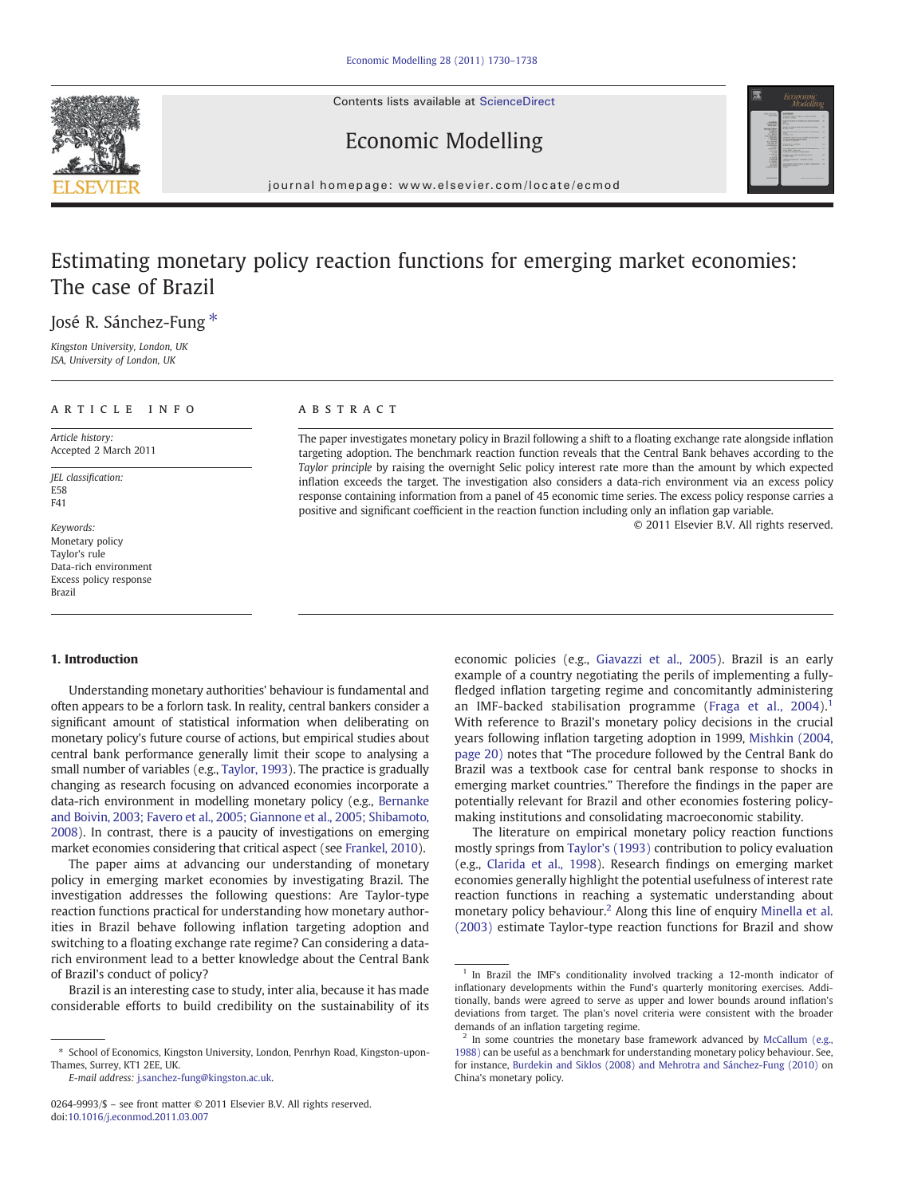Contents lists available at [ScienceDirect](http://www.sciencedirect.com/science/journal/02649993)





Economic Modelling

journal homepage: www.elsevier.com/locate/ecmod

## Estimating monetary policy reaction functions for emerging market economies: The case of Brazil

José R. Sánchez-Fung \*

Kingston University, London, UK ISA, University of London, UK

### ARTICLE INFO ABSTRACT

Article history: Accepted 2 March 2011

JEL classification: E58 F41

Keywords: Monetary policy Taylor's rule Data-rich environment Excess policy response Brazil

The paper investigates monetary policy in Brazil following a shift to a floating exchange rate alongside inflation targeting adoption. The benchmark reaction function reveals that the Central Bank behaves according to the Taylor principle by raising the overnight Selic policy interest rate more than the amount by which expected inflation exceeds the target. The investigation also considers a data-rich environment via an excess policy response containing information from a panel of 45 economic time series. The excess policy response carries a positive and significant coefficient in the reaction function including only an inflation gap variable.

© 2011 Elsevier B.V. All rights reserved.

#### 1. Introduction

Understanding monetary authorities' behaviour is fundamental and often appears to be a forlorn task. In reality, central bankers consider a significant amount of statistical information when deliberating on monetary policy's future course of actions, but empirical studies about central bank performance generally limit their scope to analysing a small number of variables (e.g., [Taylor, 1993](#page--1-0)). The practice is gradually changing as research focusing on advanced economies incorporate a data-rich environment in modelling monetary policy (e.g., [Bernanke](#page--1-0) [and Boivin, 2003; Favero et al., 2005; Giannone et al., 2005; Shibamoto,](#page--1-0) [2008\)](#page--1-0). In contrast, there is a paucity of investigations on emerging market economies considering that critical aspect (see [Frankel, 2010](#page--1-0)).

The paper aims at advancing our understanding of monetary policy in emerging market economies by investigating Brazil. The investigation addresses the following questions: Are Taylor-type reaction functions practical for understanding how monetary authorities in Brazil behave following inflation targeting adoption and switching to a floating exchange rate regime? Can considering a datarich environment lead to a better knowledge about the Central Bank of Brazil's conduct of policy?

Brazil is an interesting case to study, inter alia, because it has made considerable efforts to build credibility on the sustainability of its

E-mail address: [j.sanchez-fung@kingston.ac.uk](mailto:j.sanchez-fung@kingston.ac.uk).

economic policies (e.g., [Giavazzi et al., 2005](#page--1-0)). Brazil is an early example of a country negotiating the perils of implementing a fullyfledged inflation targeting regime and concomitantly administering an IMF-backed stabilisation programme (Fraga et al.,  $2004$ ).<sup>1</sup> With reference to Brazil's monetary policy decisions in the crucial years following inflation targeting adoption in 1999, [Mishkin \(2004,](#page--1-0) [page 20\)](#page--1-0) notes that "The procedure followed by the Central Bank do Brazil was a textbook case for central bank response to shocks in emerging market countries." Therefore the findings in the paper are potentially relevant for Brazil and other economies fostering policymaking institutions and consolidating macroeconomic stability.

The literature on empirical monetary policy reaction functions mostly springs from [Taylor's \(1993\)](#page--1-0) contribution to policy evaluation (e.g., [Clarida et al., 1998\)](#page--1-0). Research findings on emerging market economies generally highlight the potential usefulness of interest rate reaction functions in reaching a systematic understanding about monetary policy behaviour.<sup>2</sup> Along this line of enquiry [Minella et al.](#page--1-0) [\(2003\)](#page--1-0) estimate Taylor-type reaction functions for Brazil and show

<sup>⁎</sup> School of Economics, Kingston University, London, Penrhyn Road, Kingston-upon-Thames, Surrey, KT1 2EE, UK.

<sup>0264-9993/\$</sup> – see front matter © 2011 Elsevier B.V. All rights reserved. doi[:10.1016/j.econmod.2011.03.007](http://dx.doi.org/10.1016/j.econmod.2011.03.007)

<sup>&</sup>lt;sup>1</sup> In Brazil the IMF's conditionality involved tracking a 12-month indicator of inflationary developments within the Fund's quarterly monitoring exercises. Additionally, bands were agreed to serve as upper and lower bounds around inflation's deviations from target. The plan's novel criteria were consistent with the broader demands of an inflation targeting regime.

<sup>&</sup>lt;sup>2</sup> In some countries the monetary base framework advanced by [McCallum \(e.g.,](#page--1-0) [1988\)](#page--1-0) can be useful as a benchmark for understanding monetary policy behaviour. See, for instance, [Burdekin and Siklos \(2008\) and Mehrotra and Sánchez-Fung \(2010\)](#page--1-0) on China's monetary policy.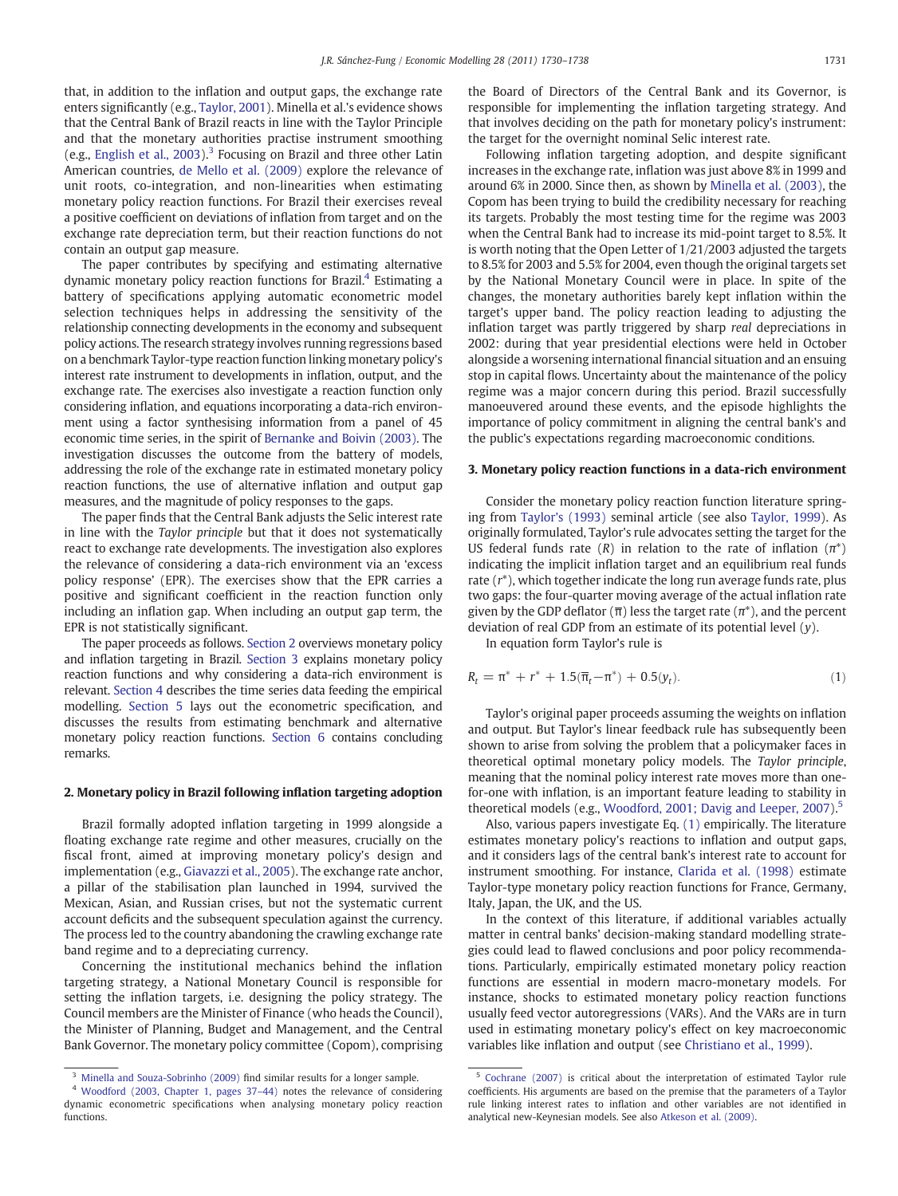that, in addition to the inflation and output gaps, the exchange rate enters significantly (e.g., [Taylor, 2001\)](#page--1-0). Minella et al.'s evidence shows that the Central Bank of Brazil reacts in line with the Taylor Principle and that the monetary authorities practise instrument smoothing (e.g., [English et al., 2003](#page--1-0)).<sup>3</sup> Focusing on Brazil and three other Latin American countries, [de Mello et al. \(2009\)](#page--1-0) explore the relevance of unit roots, co-integration, and non-linearities when estimating monetary policy reaction functions. For Brazil their exercises reveal a positive coefficient on deviations of inflation from target and on the exchange rate depreciation term, but their reaction functions do not contain an output gap measure.

The paper contributes by specifying and estimating alternative dynamic monetary policy reaction functions for Brazil.<sup>4</sup> Estimating a battery of specifications applying automatic econometric model selection techniques helps in addressing the sensitivity of the relationship connecting developments in the economy and subsequent policy actions. The research strategy involves running regressions based on a benchmark Taylor-type reaction function linking monetary policy's interest rate instrument to developments in inflation, output, and the exchange rate. The exercises also investigate a reaction function only considering inflation, and equations incorporating a data-rich environment using a factor synthesising information from a panel of 45 economic time series, in the spirit of [Bernanke and Boivin \(2003\)](#page--1-0). The investigation discusses the outcome from the battery of models, addressing the role of the exchange rate in estimated monetary policy reaction functions, the use of alternative inflation and output gap measures, and the magnitude of policy responses to the gaps.

The paper finds that the Central Bank adjusts the Selic interest rate in line with the Taylor principle but that it does not systematically react to exchange rate developments. The investigation also explores the relevance of considering a data-rich environment via an 'excess policy response' (EPR). The exercises show that the EPR carries a positive and significant coefficient in the reaction function only including an inflation gap. When including an output gap term, the EPR is not statistically significant.

The paper proceeds as follows. Section 2 overviews monetary policy and inflation targeting in Brazil. Section 3 explains monetary policy reaction functions and why considering a data-rich environment is relevant. [Section 4](#page--1-0) describes the time series data feeding the empirical modelling. [Section 5](#page--1-0) lays out the econometric specification, and discusses the results from estimating benchmark and alternative monetary policy reaction functions. [Section 6](#page--1-0) contains concluding remarks.

#### 2. Monetary policy in Brazil following inflation targeting adoption

Brazil formally adopted inflation targeting in 1999 alongside a floating exchange rate regime and other measures, crucially on the fiscal front, aimed at improving monetary policy's design and implementation (e.g., [Giavazzi et al., 2005\)](#page--1-0). The exchange rate anchor, a pillar of the stabilisation plan launched in 1994, survived the Mexican, Asian, and Russian crises, but not the systematic current account deficits and the subsequent speculation against the currency. The process led to the country abandoning the crawling exchange rate band regime and to a depreciating currency.

Concerning the institutional mechanics behind the inflation targeting strategy, a National Monetary Council is responsible for setting the inflation targets, i.e. designing the policy strategy. The Council members are the Minister of Finance (who heads the Council), the Minister of Planning, Budget and Management, and the Central Bank Governor. The monetary policy committee (Copom), comprising

the Board of Directors of the Central Bank and its Governor, is responsible for implementing the inflation targeting strategy. And that involves deciding on the path for monetary policy's instrument: the target for the overnight nominal Selic interest rate.

Following inflation targeting adoption, and despite significant increases in the exchange rate, inflation was just above 8% in 1999 and around 6% in 2000. Since then, as shown by [Minella et al. \(2003\),](#page--1-0) the Copom has been trying to build the credibility necessary for reaching its targets. Probably the most testing time for the regime was 2003 when the Central Bank had to increase its mid-point target to 8.5%. It is worth noting that the Open Letter of 1/21/2003 adjusted the targets to 8.5% for 2003 and 5.5% for 2004, even though the original targets set by the National Monetary Council were in place. In spite of the changes, the monetary authorities barely kept inflation within the target's upper band. The policy reaction leading to adjusting the inflation target was partly triggered by sharp real depreciations in 2002: during that year presidential elections were held in October alongside a worsening international financial situation and an ensuing stop in capital flows. Uncertainty about the maintenance of the policy regime was a major concern during this period. Brazil successfully manoeuvered around these events, and the episode highlights the importance of policy commitment in aligning the central bank's and the public's expectations regarding macroeconomic conditions.

#### 3. Monetary policy reaction functions in a data-rich environment

Consider the monetary policy reaction function literature springing from [Taylor's \(1993\)](#page--1-0) seminal article (see also [Taylor, 1999](#page--1-0)). As originally formulated, Taylor's rule advocates setting the target for the US federal funds rate (R) in relation to the rate of inflation  $(\pi^*)$ indicating the implicit inflation target and an equilibrium real funds rate (r\*), which together indicate the long run average funds rate, plus two gaps: the four-quarter moving average of the actual inflation rate given by the GDP deflator ( $\overline{\pi}$ ) less the target rate ( $\pi^*$ ), and the percent deviation of real GDP from an estimate of its potential level (y).

In equation form Taylor's rule is

$$
R_t = \pi^* + r^* + 1.5(\overline{\pi}_t - \pi^*) + 0.5(y_t). \tag{1}
$$

Taylor's original paper proceeds assuming the weights on inflation and output. But Taylor's linear feedback rule has subsequently been shown to arise from solving the problem that a policymaker faces in theoretical optimal monetary policy models. The Taylor principle, meaning that the nominal policy interest rate moves more than onefor-one with inflation, is an important feature leading to stability in theoretical models (e.g., [Woodford, 2001; Davig and Leeper, 2007\)](#page--1-0).<sup>5</sup>

Also, various papers investigate Eq. (1) empirically. The literature estimates monetary policy's reactions to inflation and output gaps, and it considers lags of the central bank's interest rate to account for instrument smoothing. For instance, [Clarida et al. \(1998\)](#page--1-0) estimate Taylor-type monetary policy reaction functions for France, Germany, Italy, Japan, the UK, and the US.

In the context of this literature, if additional variables actually matter in central banks' decision-making standard modelling strategies could lead to flawed conclusions and poor policy recommendations. Particularly, empirically estimated monetary policy reaction functions are essential in modern macro-monetary models. For instance, shocks to estimated monetary policy reaction functions usually feed vector autoregressions (VARs). And the VARs are in turn used in estimating monetary policy's effect on key macroeconomic variables like inflation and output (see [Christiano et al., 1999\)](#page--1-0).

[Minella and Souza-Sobrinho \(2009\)](#page--1-0) find similar results for a longer sample.

<sup>4</sup> [Woodford \(2003, Chapter 1, pages 37](#page--1-0)–44) notes the relevance of considering dynamic econometric specifications when analysing monetary policy reaction functions.

<sup>5</sup> [Cochrane \(2007\)](#page--1-0) is critical about the interpretation of estimated Taylor rule coefficients. His arguments are based on the premise that the parameters of a Taylor rule linking interest rates to inflation and other variables are not identified in analytical new-Keynesian models. See also [Atkeson et al. \(2009\).](#page--1-0)